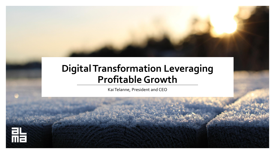### **Digital Transformation Leveraging Profitable Growth**

Kai Telanne, President and CEO

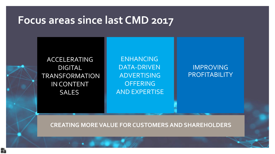## **Focus areas since last CMD 2017**

ACCELERATING DIGITAL TRANSFORMATION IN CONTENT **SALES** 

點

ENHANCING DATA-DRIVEN ADVERTISING **OFFERING** AND EXPERTISE

IMPROVING **PROFITABILITY** 

**CREATING MORE VALUE FOR CUSTOMERS AND SHAREHOLDERS**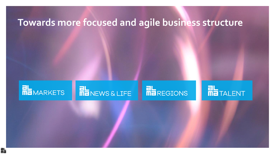### **Towards more focused and agile business structure**

## **RE**MARKETS

脂

# **ME**NEWS & LIFE

## **RE**REGIONS

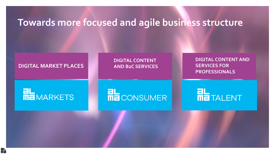### **Towards more focused and agile business structure**

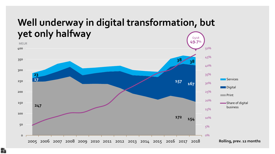### **Well underway in digital transformation, but yet only halfway** Q3/18

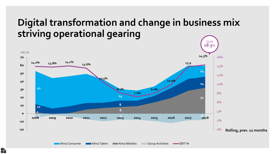### **Digital transformation and change in business mix striving operational gearing**

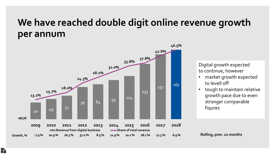### **We have reached double digit online revenue growth per annum**



點

Digital growth expected to continue, however

- market growth expected to levell off
- tough to maintain relative growth pace due to even stronger comparable fiqures

**Rolling, prev. 12 months**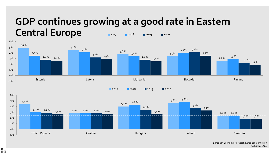### **GDP continues growing at a good rate in Eastern Central Europe 2017 2018 2019 2020**



European Economic Forecast, European Comission Autumn 11 /18.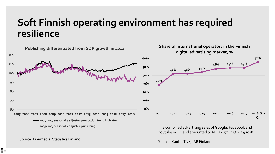### **Soft Finnish operating environment has required resilience**



#### Source: Finnmedia, Statistics Finland

點



Youtube in Finland amounted to MEUR 172 in Q1-Q3/2018.

Source: Kantar TNS, IAB Finland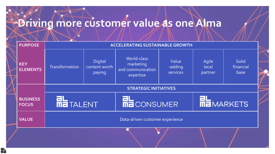# **Driving more customer value as one Alma**

脂

|  | <b>PURPOSE</b>                  | <b>ACCELERATING SUSTAINABLE GROWTH</b> |                                    |                                                            |                              |                           |                                   |  |
|--|---------------------------------|----------------------------------------|------------------------------------|------------------------------------------------------------|------------------------------|---------------------------|-----------------------------------|--|
|  | <b>KEY</b><br><b>ELEMENTS</b>   | Transformation                         | Digital<br>content worth<br>paying | World-class<br>marketing<br>and communication<br>expertise | Value<br>-adding<br>services | Agile<br>local<br>partner | <b>Solid</b><br>financial<br>base |  |
|  |                                 | <b>STRATEGIC INITIATIVES</b>           |                                    |                                                            |                              |                           |                                   |  |
|  | <b>BUSINESS</b><br><b>FOCUS</b> | <b>FIL</b><br><b>ME</b> TALENT         |                                    | THE CONSUMER                                               |                              | <b>ME</b> MARKETS         |                                   |  |
|  | <b>VALUE</b>                    | Data-driven customer experience        |                                    |                                                            |                              |                           |                                   |  |
|  |                                 |                                        |                                    |                                                            |                              |                           |                                   |  |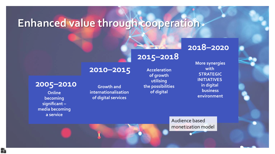## **Enhanced value through cooperation**

**2010–2015**

**Growth and internationalisation**

**of digital services**

### **2018–2020**

**More synergies with STRATEGIC INITIATIVES in digital business environment**

### **2015–2018**

**Acceleration of growth utilising the possibilities of digital**

Audience based monetization model

### **2005–2010**

**Online becoming significant – media becoming a service**

點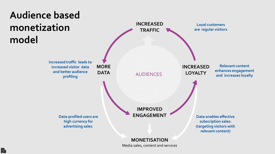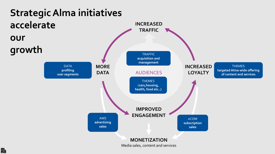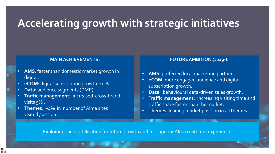## **Accelerating growth with strategic initiatives**

#### **MAIN ACHIEVEMENTS:**

- **AMS**: faster than domestic market growth in digital.
- **eCOM**: digital subscription growth 40%.
- **Data**: audience segments (DMP).

點

- **Traffic management**: increased cross-brand visits 5% .
- **Themes**: +4% in number of Alma sites visited /session.

### **FUTURE AMBITION (2019-):**

- **AMS:** preferred local marketing partner.
- **eCOM**: more engaged audience and digital subscription growth.
- **Data**: behavioural data-driven sales growth.
- **Traffic management:** Increasing visiting time and traffic share faster than the market.
- **Themes**: leading market position in all themes.

Exploiting the digitalisation for future growth and for superiorAlma customer experience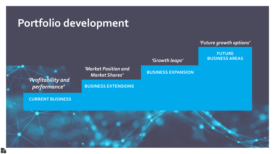### **Portfolio development**

*'Market Position and Market Shares'*

**BUSINESS EXTENSIONS**

*'Profitability and performance'*

#### **CURRENT BUSINESS**

**BUSINESS EXPANSION**

### *'Future growth options'*

**FUTURE BUSINESS AREAS** *'Growth leaps'*